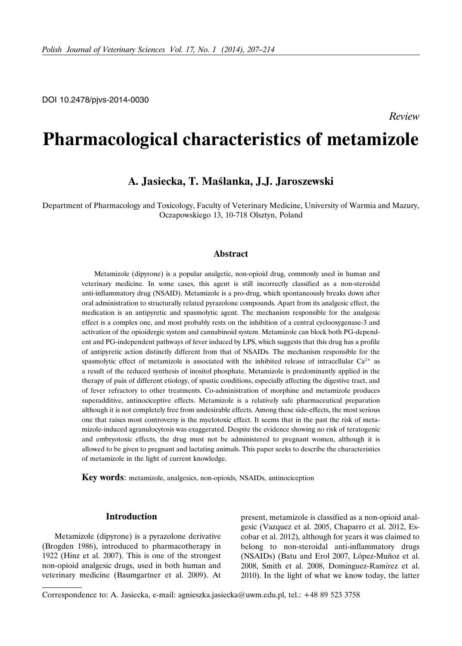# **Pharmacological characteristics of metamizole**

## **A. Jasiecka, T. Maślanka, J.J. Jaroszewski**

Department of Pharmacology and Toxicology, Faculty of Veterinary Medicine, University of Warmia and Mazury, Oczapowskiego 13, 10-718 Olsztyn, Poland

## **Abstract**

Metamizole (dipyrone) is a popular analgetic, non-opioid drug, commonly used in human and veterinary medicine. In some cases, this agent is still incorrectly classified as a non-steroidal anti-inflammatory drug (NSAID). Metamizole is a pro-drug, which spontaneously breaks down after oral administration to structurally related pyrazolone compounds. Apart from its analgesic effect, the medication is an antipyretic and spasmolytic agent. The mechanism responsible for the analgesic effect is a complex one, and most probably rests on the inhibition of a central cyclooxygenase-3 and activation of the opioidergic system and cannabinoid system. Metamizole can block both PG-dependent and PG-independent pathways of fever induced by LPS, which suggests that this drug has a profile of antipyretic action distinctly different from that of NSAIDs. The mechanism responsible for the spasmolytic effect of metamizole is associated with the inhibited release of intracellular  $Ca^{2+}$  as a result of the reduced synthesis of inositol phosphate. Metamizole is predominantly applied in the therapy of pain of different etiology, of spastic conditions, especially affecting the digestive tract, and of fever refractory to other treatments. Co-administration of morphine and metamizole produces superadditive, antinociceptive effects. Metamizole is a relatively safe pharmaceutical preparation although it is not completely free from undesirable effects. Among these side-effects, the most serious one that raises most controversy is the myelotoxic effect. It seems that in the past the risk of metamizole-induced agranulocytosis was exaggerated. Despite the evidence showing no risk of teratogenic and embryotoxic effects, the drug must not be administered to pregnant women, although it is allowed to be given to pregnant and lactating animals. This paper seeks to describe the characteristics of metamizole in the light of current knowledge.

**Key words**: metamizole, analgesics, non-opioids, NSAIDs, antinociception

## **Introduction**

Metamizole (dipyrone) is a pyrazolone derivative (Brogden 1986), introduced to pharmacotherapy in 1922 (Hinz et al. 2007). This is one of the strongest non-opioid analgesic drugs, used in both human and veterinary medicine (Baumgartner et al. 2009). At present, metamizole is classified as a non-opioid analgesic (Vazquez et al. 2005, Chaparro et al. 2012, Escobar et al. 2012), although for years it was claimed to belong to non-steroidal anti-inflammatory drugs (NSAIDs) (Batu and Erol 2007, López-Muñoz et al. 2008, Smith et al. 2008, Domínguez-Ramírez et al. 2010). In the light of what we know today, the latter

Correspondence to: A. Jasiecka, e-mail: agnieszka.jasiecka@uwm.edu.pl, tel.: +48 89 523 3758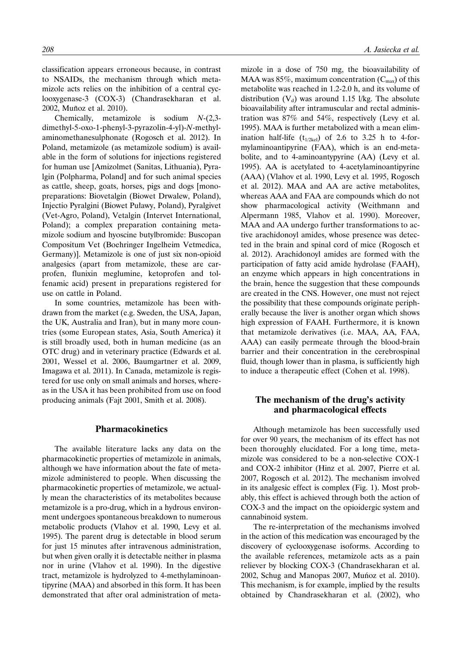classification appears erroneous because, in contrast to NSAIDs, the mechanism through which metamizole acts relies on the inhibition of a central cyclooxygenase-3 (COX-3) (Chandrasekharan et al. 2002, Muñoz et al. 2010).

Chemically, metamizole is sodium *N*-(2,3 dimethyl-5-oxo-1-phenyl-3-pyrazolin-4-yl)-*N*-methylaminomethanesulphonate (Rogosch et al. 2012). In Poland, metamizole (as metamizole sodium) is available in the form of solutions for injections registered for human use [Amizolmet (Sanitas, Lithuania), Pyralgin (Polpharma, Poland] and for such animal species as cattle, sheep, goats, horses, pigs and dogs [monopreparations: Biovetalgin (Biowet Drwalew, Poland), Injectio Pyralgini (Biowet Puławy, Poland), Pyralgivet (Vet-Agro, Poland), Vetalgin (Intervet International, Poland); a complex preparation containing metamizole sodium and hyoscine butylbromide: Buscopan Compositum Vet (Boehringer Ingelheim Vetmedica, Germany)]. Metamizole is one of just six non-opioid analgesics (apart from metamizole, these are carprofen, flunixin meglumine, ketoprofen and tolfenamic acid) present in preparations registered for use on cattle in Poland.

In some countries, metamizole has been withdrawn from the market (e.g. Sweden, the USA, Japan, the UK, Australia and Iran), but in many more countries (some European states, Asia, South America) it is still broadly used, both in human medicine (as an OTC drug) and in veterinary practice (Edwards et al. 2001, Wessel et al. 2006, Baumgartner et al. 2009, Imagawa et al. 2011). In Canada, metamizole is registered for use only on small animals and horses, whereas in the USA it has been prohibited from use on food producing animals (Fajt 2001, Smith et al. 2008).

## **Pharmacokinetics**

The available literature lacks any data on the pharmacokinetic properties of metamizole in animals, although we have information about the fate of metamizole administered to people. When discussing the pharmacokinetic properties of metamizole, we actually mean the characteristics of its metabolites because metamizole is a pro-drug, which in a hydrous environment undergoes spontaneous breakdown to numerous metabolic products (Vlahov et al. 1990, Levy et al. 1995). The parent drug is detectable in blood serum for just 15 minutes after intravenous administration, but when given orally it is detectable neither in plasma nor in urine (Vlahov et al. 1990). In the digestive tract, metamizole is hydrolyzed to 4-methylaminoantipyrine (MAA) and absorbed in this form. It has been demonstrated that after oral administration of metamizole in a dose of 750 mg, the bioavailability of MAA was  $85\%$ , maximum concentration ( $C_{\text{max}}$ ) of this metabolite was reached in 1.2-2.0 h, and its volume of distribution  $(V_d)$  was around 1.15 l/kg. The absolute bioavailability after intramuscular and rectal administration was 87% and 54%, respectively (Levy et al. 1995). MAA is further metabolized with a mean elimination half-life  $(t_{1/2kel})$  of 2.6 to 3.25 h to 4-formylaminoantipyrine (FAA), which is an end-metabolite, and to 4-aminoantypyrine (AA) (Levy et al. 1995). AA is acetylated to 4-acetylaminoantipyrine (AAA) (Vlahov et al. 1990, Levy et al. 1995, Rogosch et al. 2012). MAA and AA are active metabolites, whereas AAA and FAA are compounds which do not show pharmacological activity (Weithmann and Alpermann 1985, Vlahov et al. 1990). Moreover, MAA and AA undergo further transformations to active arachidonoyl amides, whose presence was detected in the brain and spinal cord of mice (Rogosch et al. 2012). Arachidonoyl amides are formed with the participation of fatty acid amide hydrolase (FAAH), an enzyme which appears in high concentrations in the brain, hence the suggestion that these compounds are created in the CNS. However, one must not reject the possibility that these compounds originate peripherally because the liver is another organ which shows high expression of FAAH. Furthermore, it is known that metamizole derivatives (i.e. MAA, AA, FAA, AAA) can easily permeate through the blood-brain barrier and their concentration in the cerebrospinal fluid, though lower than in plasma, is sufficiently high to induce a therapeutic effect (Cohen et al. 1998).

## **The mechanism of the drug's activity and pharmacological effects**

Although metamizole has been successfully used for over 90 years, the mechanism of its effect has not been thoroughly elucidated. For a long time, metamizole was considered to be a non-selective COX-1 and COX-2 inhibitor (Hinz et al. 2007, Pierre et al. 2007, Rogosch et al. 2012). The mechanism involved in its analgesic effect is complex (Fig. 1). Most probably, this effect is achieved through both the action of COX-3 and the impact on the opioidergic system and cannabinoid system.

The re-interpretation of the mechanisms involved in the action of this medication was encouraged by the discovery of cyclooxygenase isoforms. According to the available references, metamizole acts as a pain reliever by blocking COX-3 (Chandrasekharan et al. 2002, Schug and Manopas 2007, Muńoz et al. 2010). This mechanism, is for example, implied by the results obtained by Chandrasekharan et al. (2002), who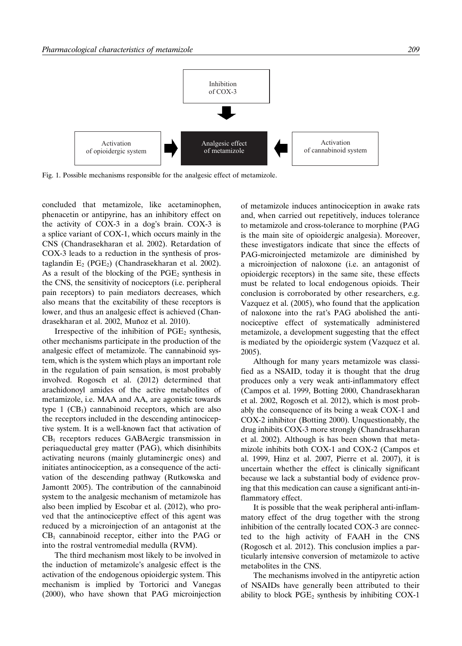

Fig. 1. Possible mechanisms responsible for the analgesic effect of metamizole.

concluded that metamizole, like acetaminophen, phenacetin or antipyrine, has an inhibitory effect on the activity of COX-3 in a dog's brain. COX-3 is a splice variant of COX-1, which occurs mainly in the CNS (Chandrasekharan et al. 2002). Retardation of COX-3 leads to a reduction in the synthesis of prostaglandin  $E_2$  (PGE<sub>2</sub>) (Chandrasekharan et al. 2002). As a result of the blocking of the  $PGE_2$  synthesis in the CNS, the sensitivity of nociceptors (i.e. peripheral pain receptors) to pain mediators decreases, which also means that the excitability of these receptors is lower, and thus an analgesic effect is achieved (Chandrasekharan et al. 2002, Muñoz et al. 2010).

Irrespective of the inhibition of  $PGE<sub>2</sub>$  synthesis, other mechanisms participate in the production of the analgesic effect of metamizole. The cannabinoid system, which is the system which plays an important role in the regulation of pain sensation, is most probably involved. Rogosch et al. (2012) determined that arachidonoyl amides of the active metabolites of metamizole, i.e. MAA and AA, are agonistic towards type  $1$  (CB<sub>1</sub>) cannabinoid receptors, which are also the receptors included in the descending antinociceptive system. It is a well-known fact that activation of CB<sub>1</sub> receptors reduces GABAergic transmission in periaqueductal grey matter (PAG), which disinhibits activating neurons (mainly glutaminergic ones) and initiates antinociception, as a consequence of the activation of the descending pathway (Rutkowska and Jamontt 2005). The contribution of the cannabinoid system to the analgesic mechanism of metamizole has also been implied by Escobar et al. (2012), who proved that the antinociceptive effect of this agent was reduced by a microinjection of an antagonist at the  $CB<sub>1</sub>$  cannabinoid receptor, either into the PAG or into the rostral ventromedial medulla (RVM).

The third mechanism most likely to be involved in the induction of metamizole's analgesic effect is the activation of the endogenous opioidergic system. This mechanism is implied by Tortorici and Vanegas (2000), who have shown that PAG microinjection of metamizole induces antinociception in awake rats and, when carried out repetitively, induces tolerance to metamizole and cross-tolerance to morphine (PAG is the main site of opioidergic analgesia). Moreover, these investigators indicate that since the effects of PAG-microinjected metamizole are diminished by a microinjection of naloxone (i.e. an antagonist of opioidergic receptors) in the same site, these effects must be related to local endogenous opioids. Their conclusion is corroborated by other researchers, e.g. Vazquez et al. (2005), who found that the application of naloxone into the rat's PAG abolished the antinociceptive effect of systematically administered metamizole, a development suggesting that the effect is mediated by the opioidergic system (Vazquez et al. 2005).

Although for many years metamizole was classified as a NSAID, today it is thought that the drug produces only a very weak anti-inflammatory effect (Campos et al. 1999, Botting 2000, Chandrasekharan et al. 2002, Rogosch et al. 2012), which is most probably the consequence of its being a weak COX-1 and COX-2 inhibitor (Botting 2000). Unquestionably, the drug inhibits COX-3 more strongly (Chandrasekharan et al. 2002). Although is has been shown that metamizole inhibits both COX-1 and COX-2 (Campos et al. 1999, Hinz et al. 2007, Pierre et al. 2007), it is uncertain whether the effect is clinically significant because we lack a substantial body of evidence proving that this medication can cause a significant anti-inflammatory effect.

It is possible that the weak peripheral anti-inflammatory effect of the drug together with the strong inhibition of the centrally located COX-3 are connected to the high activity of FAAH in the CNS (Rogosch et al. 2012). This conclusion implies a particularly intensive conversion of metamizole to active metabolites in the CNS.

The mechanisms involved in the antipyretic action of NSAIDs have generally been attributed to their ability to block  $PGE_2$  synthesis by inhibiting COX-1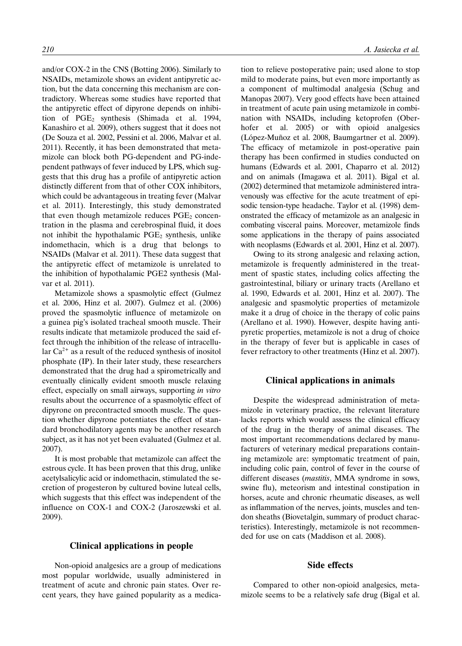and/or COX-2 in the CNS (Botting 2006). Similarly to NSAIDs, metamizole shows an evident antipyretic action, but the data concerning this mechanism are contradictory. Whereas some studies have reported that the antipyretic effect of dipyrone depends on inhibition of  $PGE_2$  synthesis (Shimada et al. 1994, Kanashiro et al. 2009), others suggest that it does not (De Souza et al. 2002, Pessini et al. 2006, Malvar et al. 2011). Recently, it has been demonstrated that metamizole can block both PG-dependent and PG-independent pathways of fever induced by LPS, which suggests that this drug has a profile of antipyretic action distinctly different from that of other COX inhibitors, which could be advantageous in treating fever (Malvar et al. 2011). Interestingly, this study demonstrated that even though metamizole reduces  $PGE<sub>2</sub>$  concentration in the plasma and cerebrospinal fluid, it does not inhibit the hypothalamic  $PGE_2$  synthesis, unlike indomethacin, which is a drug that belongs to NSAIDs (Malvar et al. 2011). These data suggest that the antipyretic effect of metamizole is unrelated to the inhibition of hypothalamic PGE2 synthesis (Malvar et al. 2011).

Metamizole shows a spasmolytic effect (Gulmez et al. 2006, Hinz et al. 2007). Gulmez et al. (2006) proved the spasmolytic influence of metamizole on a guinea pig's isolated tracheal smooth muscle. Their results indicate that metamizole produced the said effect through the inhibition of the release of intracellular  $Ca^{2+}$  as a result of the reduced synthesis of inositol phosphate (IP). In their later study, these researchers demonstrated that the drug had a spirometrically and eventually clinically evident smooth muscle relaxing effect, especially on small airways, supporting *in vitro* results about the occurrence of a spasmolytic effect of dipyrone on precontracted smooth muscle. The question whether dipyrone potentiates the effect of standard bronchodilatory agents may be another research subject, as it has not yet been evaluated (Gulmez et al. 2007).

It is most probable that metamizole can affect the estrous cycle. It has been proven that this drug, unlike acetylsalicylic acid or indomethacin, stimulated the secretion of progesteron by cultured bovine luteal cells, which suggests that this effect was independent of the influence on COX-1 and COX-2 (Jaroszewski et al. 2009).

## **Clinical applications in people**

Non-opioid analgesics are a group of medications most popular worldwide, usually administered in treatment of acute and chronic pain states. Over recent years, they have gained popularity as a medication to relieve postoperative pain; used alone to stop mild to moderate pains, but even more importantly as a component of multimodal analgesia (Schug and Manopas 2007). Very good effects have been attained in treatment of acute pain using metamizole in combination with NSAIDs, including ketoprofen (Oberhofer et al. 2005) or with opioid analgesics (López-Muñoz et al. 2008, Baumgartner et al. 2009). The efficacy of metamizole in post-operative pain therapy has been confirmed in studies conducted on humans (Edwards et al. 2001, Chaparro et al. 2012) and on animals (Imagawa et al. 2011). Bigal et al. (2002) determined that metamizole administered intravenously was effective for the acute treatment of episodic tension-type headache. Taylor et al. (1998) demonstrated the efficacy of metamizole as an analgesic in combating visceral pains. Moreover, metamizole finds some applications in the therapy of pains associated with neoplasms (Edwards et al. 2001, Hinz et al. 2007).

Owing to its strong analgesic and relaxing action, metamizole is frequently administered in the treatment of spastic states, including colics affecting the gastrointestinal, biliary or urinary tracts (Arellano et al. 1990, Edwards et al. 2001, Hinz et al. 2007). The analgesic and spasmolytic properties of metamizole make it a drug of choice in the therapy of colic pains (Arellano et al. 1990). However, despite having antipyretic properties, metamizole is not a drug of choice in the therapy of fever but is applicable in cases of fever refractory to other treatments (Hinz et al. 2007).

## **Clinical applications in animals**

Despite the widespread administration of metamizole in veterinary practice, the relevant literature lacks reports which would assess the clinical efficacy of the drug in the therapy of animal diseases. The most important recommendations declared by manufacturers of veterinary medical preparations containing metamizole are: symptomatic treatment of pain, including colic pain, control of fever in the course of different diseases (*mastitis*, MMA syndrome in sows, swine flu), meteorism and intestinal constipation in horses, acute and chronic rheumatic diseases, as well as inflammation of the nerves, joints, muscles and tendon sheaths (Biovetalgin, summary of product characteristics). Interestingly, metamizole is not recommended for use on cats (Maddison et al. 2008).

## **Side effects**

Compared to other non-opioid analgesics, metamizole seems to be a relatively safe drug (Bigal et al.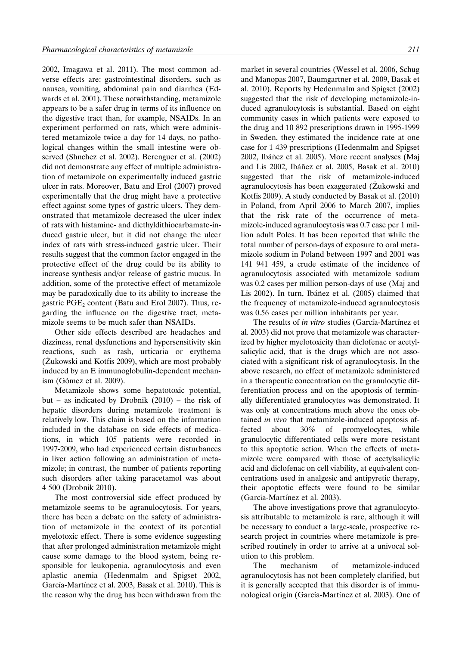2002, Imagawa et al. 2011). The most common adverse effects are: gastrointestinal disorders, such as nausea, vomiting, abdominal pain and diarrhea (Edwards et al. 2001). These notwithstanding, metamizole appears to be a safer drug in terms of its influence on the digestive tract than, for example, NSAIDs. In an experiment performed on rats, which were administered metamizole twice a day for 14 days, no pathological changes within the small intestine were observed (Shnchez et al. 2002). Berenguer et al. (2002) did not demonstrate any effect of multiple administration of metamizole on experimentally induced gastric ulcer in rats. Moreover, Batu and Erol (2007) proved experimentally that the drug might have a protective effect against some types of gastric ulcers. They demonstrated that metamizole decreased the ulcer index of rats with histamine- and diethyldithiocarbamate-induced gastric ulcer, but it did not change the ulcer index of rats with stress-induced gastric ulcer. Their results suggest that the common factor engaged in the protective effect of the drug could be its ability to increase synthesis and/or release of gastric mucus. In addition, some of the protective effect of metamizole may be paradoxically due to its ability to increase the gastric  $PGE_2$  content (Batu and Erol 2007). Thus, regarding the influence on the digestive tract, metamizole seems to be much safer than NSAIDs.

Other side effects described are headaches and dizziness, renal dysfunctions and hypersensitivity skin reactions, such as rash, urticaria or erythema (Żukowski and Kotfis 2009), which are most probably induced by an E immunoglobulin-dependent mechanism (Gómez et al. 2009).

Metamizole shows some hepatotoxic potential, but – as indicated by Drobnik (2010) – the risk of hepatic disorders during metamizole treatment is relatively low. This claim is based on the information included in the database on side effects of medications, in which 105 patients were recorded in 1997-2009, who had experienced certain disturbances in liver action following an administration of metamizole; in contrast, the number of patients reporting such disorders after taking paracetamol was about 4 500 (Drobnik 2010).

The most controversial side effect produced by metamizole seems to be agranulocytosis. For years, there has been a debate on the safety of administration of metamizole in the context of its potential myelotoxic effect. There is some evidence suggesting that after prolonged administration metamizole might cause some damage to the blood system, being responsible for leukopenia, agranulocytosis and even aplastic anemia (Hedenmalm and Spigset 2002, García-Martínez et al. 2003, Basak et al. 2010). This is the reason why the drug has been withdrawn from the market in several countries (Wessel et al. 2006, Schug and Manopas 2007, Baumgartner et al. 2009, Basak et al. 2010). Reports by Hedenmalm and Spigset (2002) suggested that the risk of developing metamizole-induced agranulocytosis is substantial. Based on eight community cases in which patients were exposed to the drug and 10 892 prescriptions drawn in 1995-1999 in Sweden, they estimated the incidence rate at one case for 1 439 prescriptions (Hedenmalm and Spigset 2002, Ibáñez et al. 2005). More recent analyses (Maj and Lis 2002, Ibáñez et al. 2005, Basak et al. 2010) suggested that the risk of metamizole-induced agranulocytosis has been exaggerated (Żukowski and Kotfis 2009). A study conducted by Basak et al. (2010) in Poland, from April 2006 to March 2007, implies that the risk rate of the occurrence of metamizole-induced agranulocytosis was 0.7 case per 1 million adult Poles. It has been reported that while the total number of person-days of exposure to oral metamizole sodium in Poland between 1997 and 2001 was 141 941 459, a crude estimate of the incidence of agranulocytosis associated with metamizole sodium was 0.2 cases per million person-days of use (Maj and Lis 2002). In turn, Ibáñez et al. (2005) claimed that the frequency of metamizole-induced agranulocytosis was 0.56 cases per million inhabitants per year.

The results of *in vitro* studies (García-Martínez et al. 2003) did not prove that metamizole was characterized by higher myelotoxicity than diclofenac or acetylsalicylic acid, that is the drugs which are not associated with a significant risk of agranulocytosis. In the above research, no effect of metamizole administered in a therapeutic concentration on the granulocytic differentiation process and on the apoptosis of terminally differentiated granulocytes was demonstrated. It was only at concentrations much above the ones obtained *in vivo* that metamizole-induced apoptosis affected about 30% of promyelocytes, while granulocytic differentiated cells were more resistant to this apoptotic action. When the effects of metamizole were compared with those of acetylsalicylic acid and diclofenac on cell viability, at equivalent concentrations used in analgesic and antipyretic therapy, their apoptotic effects were found to be similar (García-Martínez et al. 2003).

The above investigations prove that agranulocytosis attributable to metamizole is rare, although it will be necessary to conduct a large-scale, prospective research project in countries where metamizole is prescribed routinely in order to arrive at a univocal solution to this problem.

The mechanism of metamizole-induced agranulocytosis has not been completely clarified, but it is generally accepted that this disorder is of immunological origin (García-Martínez et al. 2003). One of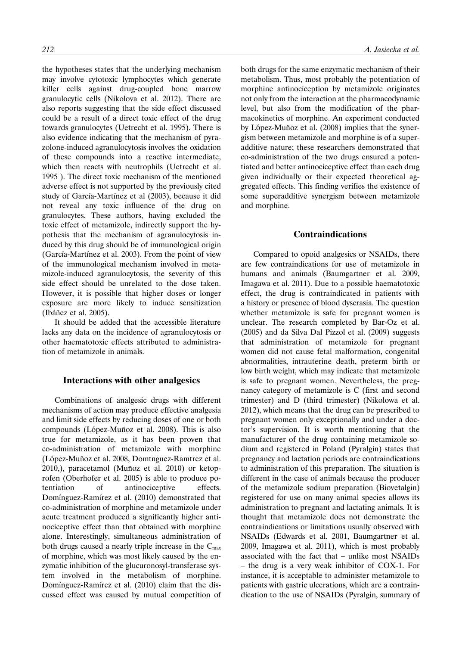the hypotheses states that the underlying mechanism may involve cytotoxic lymphocytes which generate killer cells against drug-coupled bone marrow granulocytic cells (Nikolova et al. 2012). There are also reports suggesting that the side effect discussed could be a result of a direct toxic effect of the drug towards granulocytes (Uetrecht et al. 1995). There is also evidence indicating that the mechanism of pyrazolone-induced agranulocytosis involves the oxidation of these compounds into a reactive intermediate, which then reacts with neutrophils (Uetrecht et al. 1995 ). The direct toxic mechanism of the mentioned adverse effect is not supported by the previously cited study of García-Martínez et al (2003), because it did not reveal any toxic influence of the drug on granulocytes. These authors, having excluded the toxic effect of metamizole, indirectly support the hypothesis that the mechanism of agranulocytosis induced by this drug should be of immunological origin (García-Martínez et al. 2003). From the point of view of the immunological mechanism involved in metamizole-induced agranulocytosis, the severity of this side effect should be unrelated to the dose taken. However, it is possible that higher doses or longer exposure are more likely to induce sensitization (Ibáñez et al. 2005).

It should be added that the accessible literature lacks any data on the incidence of agranulocytosis or other haematotoxic effects attributed to administration of metamizole in animals.

#### **Interactions with other analgesics**

Combinations of analgesic drugs with different mechanisms of action may produce effective analgesia and limit side effects by reducing doses of one or both compounds (López-Muñoz et al. 2008). This is also true for metamizole, as it has been proven that co-administration of metamizole with morphine (López-Muñoz et al. 2008, Domtnguez-Ramtrez et al. 2010,), paracetamol (Muñoz et al. 2010) or ketoprofen (Oberhofer et al. 2005) is able to produce potentiation of antinociceptive effects. Domínguez-Ramírez et al. (2010) demonstrated that co-administration of morphine and metamizole under acute treatment produced a significantly higher antinociceptive effect than that obtained with morphine alone. Interestingly, simultaneous administration of both drugs caused a nearly triple increase in the  $C_{\text{max}}$ of morphine, which was most likely caused by the enzymatic inhibition of the glucuronosyl-transferase system involved in the metabolism of morphine. Domínguez-Ramírez et al. (2010) claim that the discussed effect was caused by mutual competition of both drugs for the same enzymatic mechanism of their metabolism. Thus, most probably the potentiation of morphine antinociception by metamizole originates not only from the interaction at the pharmacodynamic level, but also from the modification of the pharmacokinetics of morphine. An experiment conducted by López-Muñoz et al. (2008) implies that the synergism between metamizole and morphine is of a superadditive nature; these researchers demonstrated that co-administration of the two drugs ensured a potentiated and better antinociceptive effect than each drug given individually or their expected theoretical aggregated effects. This finding verifies the existence of some superadditive synergism between metamizole and morphine.

#### **Contraindications**

Compared to opoid analgesics or NSAIDs, there are few contraindications for use of metamizole in humans and animals (Baumgartner et al. 2009, Imagawa et al. 2011). Due to a possible haematotoxic effect, the drug is contraindicated in patients with a history or presence of blood dyscrasia. The question whether metamizole is safe for pregnant women is unclear. The research completed by Bar-Oz et al. (2005) and da Silva Dal Pizzol et al. (2009) suggests that administration of metamizole for pregnant women did not cause fetal malformation, congenital abnormalities, intrauterine death, preterm birth or low birth weight, which may indicate that metamizole is safe to pregnant women. Nevertheless, the pregnancy category of metamizole is C (first and second trimester) and D (third trimester) (Nikolowa et al. 2012), which means that the drug can be prescribed to pregnant women only exceptionally and under a doctor's supervision. It is worth mentioning that the manufacturer of the drug containing metamizole sodium and registered in Poland (Pyralgin) states that pregnancy and lactation periods are contraindications to administration of this preparation. The situation is different in the case of animals because the producer of the metamizole sodium preparation (Biovetalgin) registered for use on many animal species allows its administration to pregnant and lactating animals. It is thought that metamizole does not demonstrate the contraindications or limitations usually observed with NSAIDs (Edwards et al. 2001, Baumgartner et al. 2009, Imagawa et al. 2011), which is most probably associated with the fact that – unlike most NSAIDs – the drug is a very weak inhibitor of COX-1. For instance, it is acceptable to administer metamizole to patients with gastric ulcerations, which are a contraindication to the use of NSAIDs (Pyralgin, summary of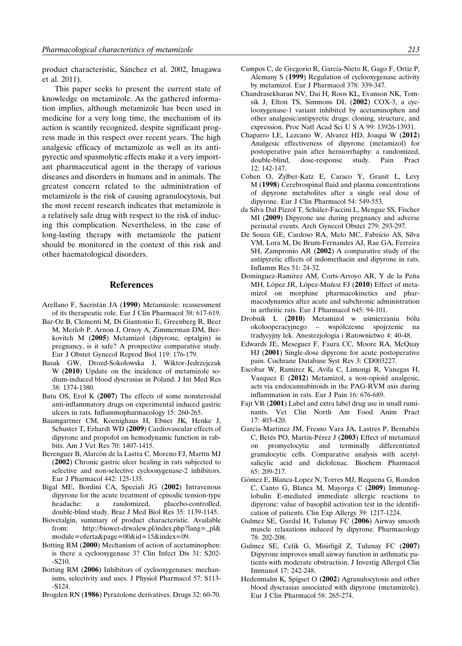product characteristic, Sánchez et al. 2002, Imagawa et al. 2011).

This paper seeks to present the current state of knowledge on metamizole. As the gathered information implies, although metamizole has been used in medicine for a very long time, the mechanism of its action is scantily recognized, despite significant progress made in this respect over recent years. The high analgesic efficacy of metamizole as well as its antipyrectic and spasmolytic effects make it a very important pharmaceutical agent in the therapy of various diseases and disorders in humans and in animals. The greatest concern related to the administration of metamizole is the risk of causing agranulocytosis, but the most recent research indicates that metamizole is a relatively safe drug with respect to the risk of inducing this complication. Nevertheless, in the case of long-lasting therapy with metamizole the patient should be monitored in the context of this risk and other haematological disorders.

#### **References**

- Arellano F, Sacristán JA (1990) Metamizole: reassessment of its therapeutic role. Eur J Clin Pharmacol 38: 617-619.
- Bar-Oz B, Clementi M, Di Giantonio E, Greenberg R, Beer M, Merlob P, Arnon J, Ornoy A, Zimmerman DM, Berkovitch M (**2005**) Metamizol (dipyrone, optalgin) in pregnancy, is it safe? A prospective comparative study. Eur J Obstet Gynecol Reprod Biol 119: 176-179.
- Basak GW, Drozd-Sokołowska J, Wiktor-Jedrzejczak W (**2010**) Update on the incidence of metamizole sodium-induced blood dyscrasias in Poland. J Int Med Res 38: 1374-1380.
- Batu OS, Erol K (**2007**) The effects of some nonsteroidal anti-inflammatory drugs on experimental induced gastric ulcers in rats. Inflammopharmacology 15: 260-265.
- Baumgartner CM, Koenighaus H, Ebner JK, Henke J, Schuster T, Erhardt WD (**2009**) Cardiovascular effects of dipyrone and propofol on hemodynamic function in rabbits. Am J Vet Res 70: 1407-1415.
- Berenguer B, Alarcón de la Lastra C, Moreno FJ, Marttn MJ (**2002**) Chronic gastric ulcer healing in rats subjected to selective and non-selective cyclooxygenase-2 inhibitors. Eur J Pharmacol 442: 125-135.
- Bigal ME, Bordini CA, Speciali JG (**2002**) Intravenous dipyrone for the acute treatment of episodic tension-type headache: a randomized, placebo-controlled, double-blind study. Braz J Med Biol Res 35: 1139-1145.
- Biovetalgin, summary of product characteristic. Available from: http://biowet-drwalew.pl/index.php?lang=–pl& module=oferta&page=00&id=15&index=09.
- Botting RM (**2000**) Mechanism of action of acetaminophen: is there a cyclooxygenase 3? Clin Infect Dis 31: S202- -S210.
- Botting RM (**2006**) Inhibitors of cyclooxygenases: mechanisms, selectivity and uses. J Physiol Pharmacol 57: S113- -S124.
- Brogden RN (**1986**) Pyrazolone derivatives. Drugs 32: 60-70.
- Campos C, de Gregorio R, García-Nieto R, Gago F, Ortiz P, Alemany S (**1999**) Regulation of cyclooxygenase activity by metamizol. Eur J Pharmacol 378: 339-347.
- Chandrasekharan NV, Dai H, Roos KL, Evanson NK, Tomsik J, Elton TS, Simmons DL (**2002**) COX-3, a cyclooxygenase-1 variant inhibited by acetaminophen and other analgesic/antipyretic drugs: cloning, structure, and expression. Proc Natl Acad Sci U S A 99: 13926-13931.
- Chaparro LE, Lezcano W, Alvarez HD, Joaqui W (**2012**) Analgesic effectiveness of dipyrone (metamizol) for postoperative pain after herniorrhaphy: a randomized, dose-response study. Pain Pract 12: 142-147.
- Cohen O, Zylber-Katz E, Caraco Y, Granit L, Levy M (**1998**) Cerebrospinal fluid and plasma concentrations of dipyrone metabolites after a single oral dose of dipyrone. Eur J Clin Pharmacol 54: 549-553.
- da Silva Dal Pizzol T, Schüler-Faccini L, Mengue SS, Fischer MI (**2009**) Dipyrone use during pregnancy and adverse perinatal events. Arch Gynecol Obstet 279: 293-297.
- De Souza GE, Cardoso RA, Melo MC, Fabricio AS, Silva VM, Lora M, De Brum-Fernandes AJ, Rae GA, Ferreira SH, Zampronio AR (**2002**) A comparative study of the antipyretic effects of indomethacin and dipyrone in rats. Inflamm Res 51: 24-32.
- Domínguez-Ramírez AM, Corts-Arroyo AR, Y de la Peña MH, López JR, López-Muñoz FJ (2010) Effect of metamizol on morphine pharmacokinetics and pharmacodynamics after acute and subchronic administration in arthritic rats. Eur J Pharmacol 645: 94-101.
- Drobnik L (**2010**) Metamizol w uśmierzaniu bólu okołooperacyjnego – współczesne spojrzenie na tradycyjny lek. Anestezjologia i Ratownictwo 4: 40-48.
- Edwards JE, Meseguer F, Faura CC, Moore RA, McQuay HJ (**2001**) Single-dose dipyrone for acute postoperative pain. Cochrane Database Syst Rev 3: CD003227.
- Escobar W, Ramirez K, Avila C, Limongi R, Vanegas H, Vazquez E (**2012**) Metamizol, a non-opioid analgesic, acts via endocannabinoids in the PAG-RVM axis during inflammation in rats. Eur J Pain 16: 676-689.
- Fajt VR (**2001**) Label and extra label drug use in small ruminants. Vet Clin North Am Food Anim Pract 17: 403-420.
- García-Martínez JM, Fresno Vara JA, Lastres P, Bernabéu C, Betés PO, Martín-Pérez J (2003) Effect of metamizol on promyelocytic and terminally differentiated granulocytic cells. Comparative analysis with acetylsalicylic acid and diclofenac. Biochem Pharmacol 65: 209-217.
- Gómez E, Blanca-Lopez N, Torres MJ, Requena G, Rondon C, Canto G, Blanca M, Mayorga C (**2009**) Immunoglobulin E-mediated immediate allergic reactions to dipyrone: value of basophil activation test in the identification of patients. Clin Exp Allergy 39: 1217-1224.
- Gulmez SE, Gurdal H, Tulunay FC (**2006**) Airway smooth muscle relaxations induced by dipyrone. Pharmacology 78: 202-208.
- Gulmez SE, Celik G, Misirligil Z, Tulunay FC (**2007**) Dipyrone improves small airway function in asthmatic patients with moderate obstruction. J Investig Allergol Clin Immunol 17: 242-248.
- Hedenmalm K, Spigset O **(2002**) Agranulocytosis and other blood dyscrasias associated with dipyrone (metamizole). Eur J Clin Pharmacol 58: 265-274.